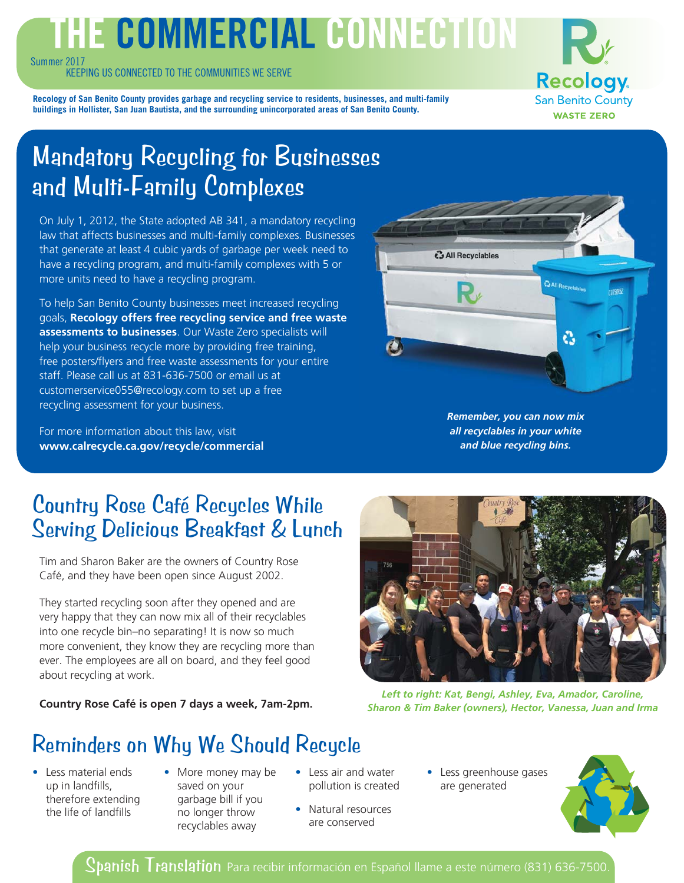# THE COMMERCIAL CONNECTION

Summer 2017

KEEPING US CONNECTED TO THE COMMUNITIES WE SERVE

**Recology San Benito County WASTE ZERO** 

**Recology of San Benito County provides garbage and recycling service to residents, businesses, and multi-family buildings in Hollister, San Juan Bautista, and the surrounding unincorporated areas of San Benito County.** 

## Mandatory Recycling for Businesses and Multi-Family Complexes

On July 1, 2012, the State adopted AB 341, a mandatory recycling law that affects businesses and multi-family complexes. Businesses that generate at least 4 cubic yards of garbage per week need to have a recycling program, and multi-family complexes with 5 or more units need to have a recycling program.

To help San Benito County businesses meet increased recycling goals, **Recology offers free recycling service and free waste assessments to businesses**. Our Waste Zero specialists will help your business recycle more by providing free training, free posters/flyers and free waste assessments for your entire staff. Please call us at 831-636-7500 or email us at customerservice055@recology.com to set up a free recycling assessment for your business.

For more information about this law, visit **www.calrecycle.ca.gov/recycle/commercial**



*Remember, you can now mix all recyclables in your white and blue recycling bins.*

### Country Rose Café Recycles While Serving Delicious Breakfast & Lunch

Tim and Sharon Baker are the owners of Country Rose Café, and they have been open since August 2002.

They started recycling soon after they opened and are very happy that they can now mix all of their recyclables into one recycle bin–no separating! It is now so much more convenient, they know they are recycling more than ever. The employees are all on board, and they feel good about recycling at work.

**Country Rose Café is open 7 days a week, 7am-2pm.**



*Left to right: Kat, Bengi, Ashley, Eva, Amador, Caroline, Sharon & Tim Baker (owners), Hector, Vanessa, Juan and Irma*

## Reminders on Why We Should Recycle

- Less material ends up in landfills, therefore extending the life of landfills
- More money may be saved on your garbage bill if you no longer throw recyclables away
- Less air and water pollution is created
- Natural resources are conserved
- Less greenhouse gases are generated



Spanish Translation Para recibir información en Español llame a este número (831) 636-7500